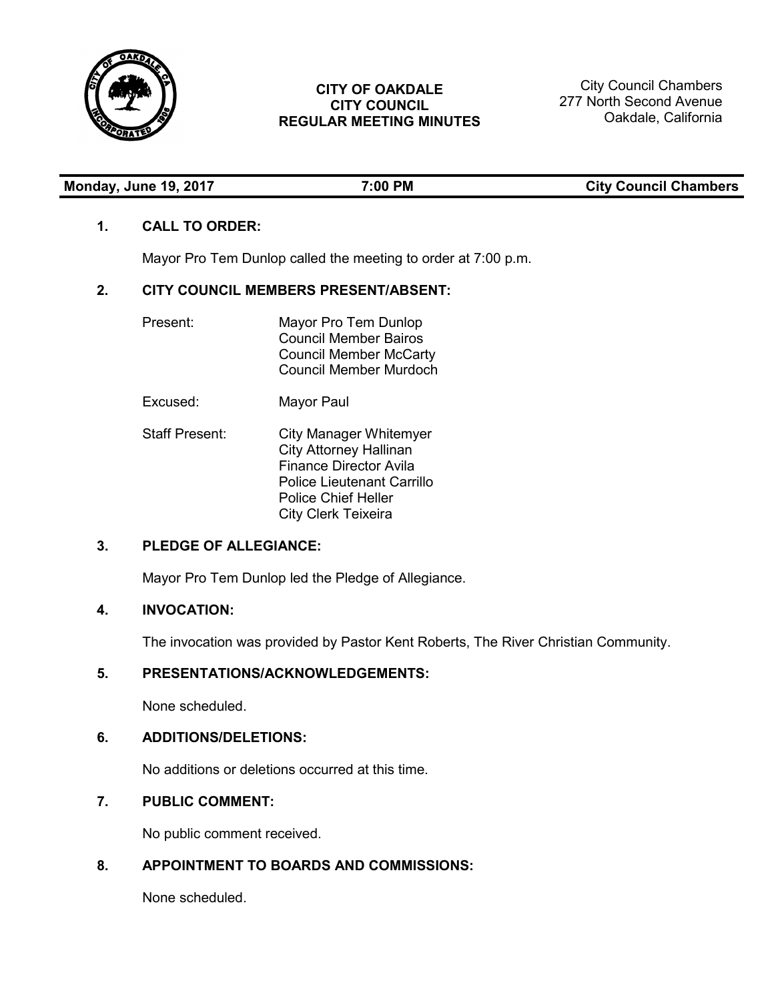

# **CITY OF OAKDALE CITY COUNCIL REGULAR MEETING MINUTES**

City Council Chambers 277 North Second Avenue Oakdale, California

**Monday, 2018 19, 2018 19, 2018 19, 2018 19, 2018 19, 2018 19, 2018 19, 2018 19, 2018 19, 2018 19, 2018 19, 2018 19, 2018 19, 2018 19, 2018 19, 2019 19, 2019 19, 2019 19, 2019 19, 2019 19, 2019 19, 2019 19, 2019 19, 2019 1** 

# **1. CALL TO ORDER:**

Mayor Pro Tem Dunlop called the meeting to order at 7:00 p.m.

# **2. CITY COUNCIL MEMBERS PRESENT/ABSENT:**

| Present: | Mayor Pro Tem Dunlop<br><b>Council Member Bairos</b><br><b>Council Member McCarty</b><br>Council Member Murdoch |
|----------|-----------------------------------------------------------------------------------------------------------------|
| Excused: | Mayor Paul                                                                                                      |

Staff Present: City Manager Whitemyer City Attorney Hallinan Finance Director Avila Police Lieutenant Carrillo Police Chief Heller City Clerk Teixeira

# **3. PLEDGE OF ALLEGIANCE:**

Mayor Pro Tem Dunlop led the Pledge of Allegiance.

# **4. INVOCATION:**

The invocation was provided by Pastor Kent Roberts, The River Christian Community.

## **5. PRESENTATIONS/ACKNOWLEDGEMENTS:**

None scheduled.

# **6. ADDITIONS/DELETIONS:**

No additions or deletions occurred at this time.

# **7. PUBLIC COMMENT:**

No public comment received.

# **8. APPOINTMENT TO BOARDS AND COMMISSIONS:**

None scheduled.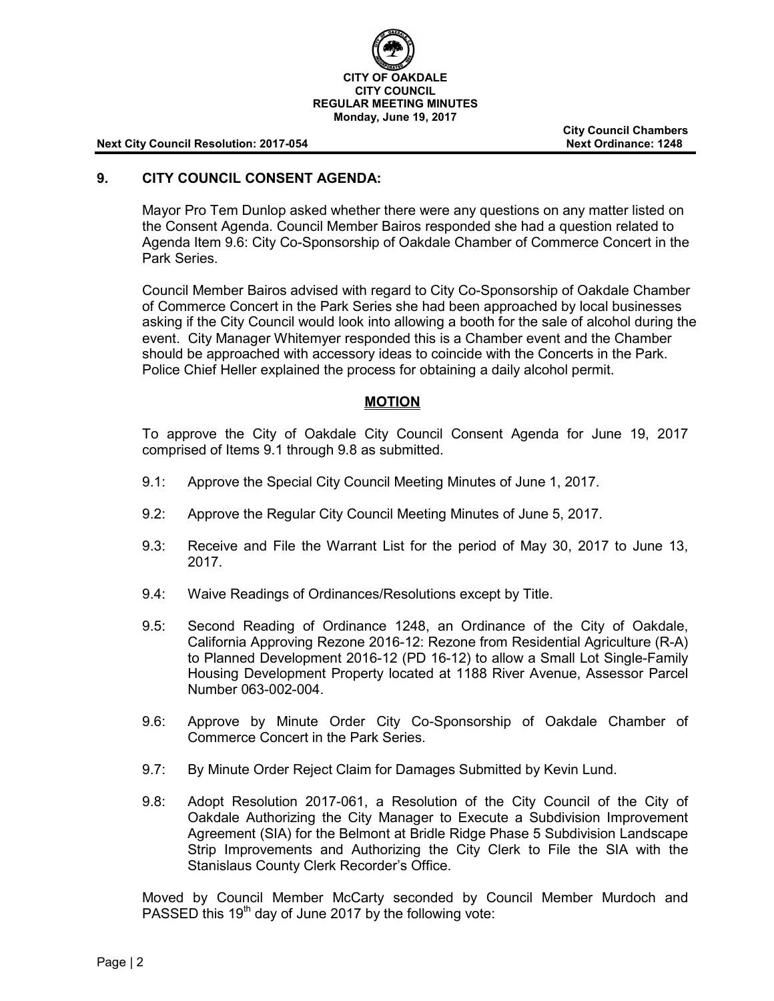

**City Council Chambers**

## **9. CITY COUNCIL CONSENT AGENDA:**

Mayor Pro Tem Dunlop asked whether there were any questions on any matter listed on the Consent Agenda. Council Member Bairos responded she had a question related to Agenda Item 9.6: City Co-Sponsorship of Oakdale Chamber of Commerce Concert in the Park Series.

Council Member Bairos advised with regard to City Co-Sponsorship of Oakdale Chamber of Commerce Concert in the Park Series she had been approached by local businesses asking if the City Council would look into allowing a booth for the sale of alcohol during the event. City Manager Whitemyer responded this is a Chamber event and the Chamber should be approached with accessory ideas to coincide with the Concerts in the Park. Police Chief Heller explained the process for obtaining a daily alcohol permit.

# **MOTION**

To approve the City of Oakdale City Council Consent Agenda for June 19, 2017 comprised of Items 9.1 through 9.8 as submitted.

- 9.1: Approve the Special City Council Meeting Minutes of June 1, 2017.
- 9.2: Approve the Regular City Council Meeting Minutes of June 5, 2017.
- 9.3: Receive and File the Warrant List for the period of May 30, 2017 to June 13, 2017.
- 9.4: Waive Readings of Ordinances/Resolutions except by Title.
- 9.5: Second Reading of Ordinance 1248, an Ordinance of the City of Oakdale, California Approving Rezone 2016-12: Rezone from Residential Agriculture (R-A) to Planned Development 2016-12 (PD 16-12) to allow a Small Lot Single-Family Housing Development Property located at 1188 River Avenue, Assessor Parcel Number 063-002-004.
- 9.6: Approve by Minute Order City Co-Sponsorship of Oakdale Chamber of Commerce Concert in the Park Series.
- 9.7: By Minute Order Reject Claim for Damages Submitted by Kevin Lund.
- 9.8: Adopt Resolution 2017-061, a Resolution of the City Council of the City of Oakdale Authorizing the City Manager to Execute a Subdivision Improvement Agreement (SIA) for the Belmont at Bridle Ridge Phase 5 Subdivision Landscape Strip Improvements and Authorizing the City Clerk to File the SIA with the Stanislaus County Clerk Recorder's Office.

Moved by Council Member McCarty seconded by Council Member Murdoch and PASSED this 19<sup>th</sup> day of June 2017 by the following vote: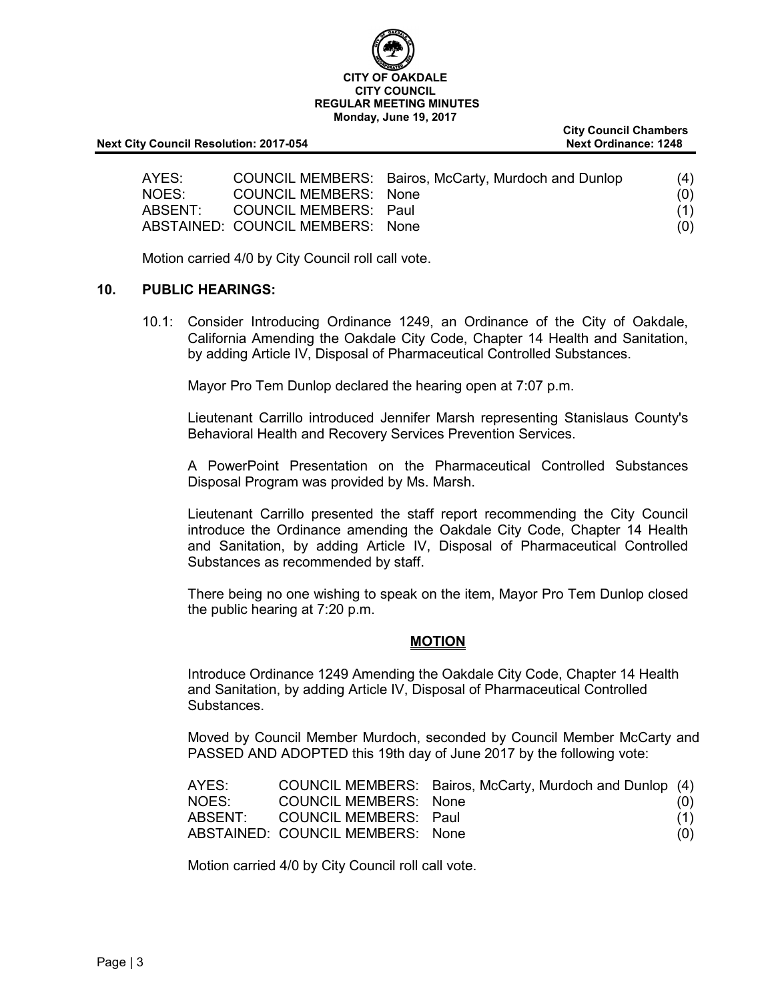

**City Council Chambers**

| AYES:   |                                  | COUNCIL MEMBERS: Bairos, McCarty, Murdoch and Dunlop | (4) |
|---------|----------------------------------|------------------------------------------------------|-----|
| NOES:   | COUNCIL MEMBERS: None            |                                                      | (0) |
| ABSENT: | COUNCIL MEMBERS: Paul            |                                                      | (1) |
|         | ABSTAINED: COUNCIL MEMBERS: None |                                                      | (0) |

Motion carried 4/0 by City Council roll call vote.

#### **10. PUBLIC HEARINGS:**

10.1: Consider Introducing Ordinance 1249, an Ordinance of the City of Oakdale, California Amending the Oakdale City Code, Chapter 14 Health and Sanitation, by adding Article IV, Disposal of Pharmaceutical Controlled Substances.

Mayor Pro Tem Dunlop declared the hearing open at 7:07 p.m.

Lieutenant Carrillo introduced Jennifer Marsh representing Stanislaus County's Behavioral Health and Recovery Services Prevention Services.

A PowerPoint Presentation on the Pharmaceutical Controlled Substances Disposal Program was provided by Ms. Marsh.

Lieutenant Carrillo presented the staff report recommending the City Council introduce the Ordinance amending the Oakdale City Code, Chapter 14 Health and Sanitation, by adding Article IV, Disposal of Pharmaceutical Controlled Substances as recommended by staff.

There being no one wishing to speak on the item, Mayor Pro Tem Dunlop closed the public hearing at 7:20 p.m.

### **MOTION**

Introduce Ordinance 1249 Amending the Oakdale City Code, Chapter 14 Health and Sanitation, by adding Article IV, Disposal of Pharmaceutical Controlled Substances.

Moved by Council Member Murdoch, seconded by Council Member McCarty and PASSED AND ADOPTED this 19th day of June 2017 by the following vote:

| AYES:   |                                  | COUNCIL MEMBERS: Bairos, McCarty, Murdoch and Dunlop (4) |     |
|---------|----------------------------------|----------------------------------------------------------|-----|
| NOES:   | COUNCIL MEMBERS: None            |                                                          | (0) |
| ABSENT: | COUNCIL MEMBERS: Paul            |                                                          | (1) |
|         | ABSTAINED: COUNCIL MEMBERS: None |                                                          | (0) |

Motion carried 4/0 by City Council roll call vote.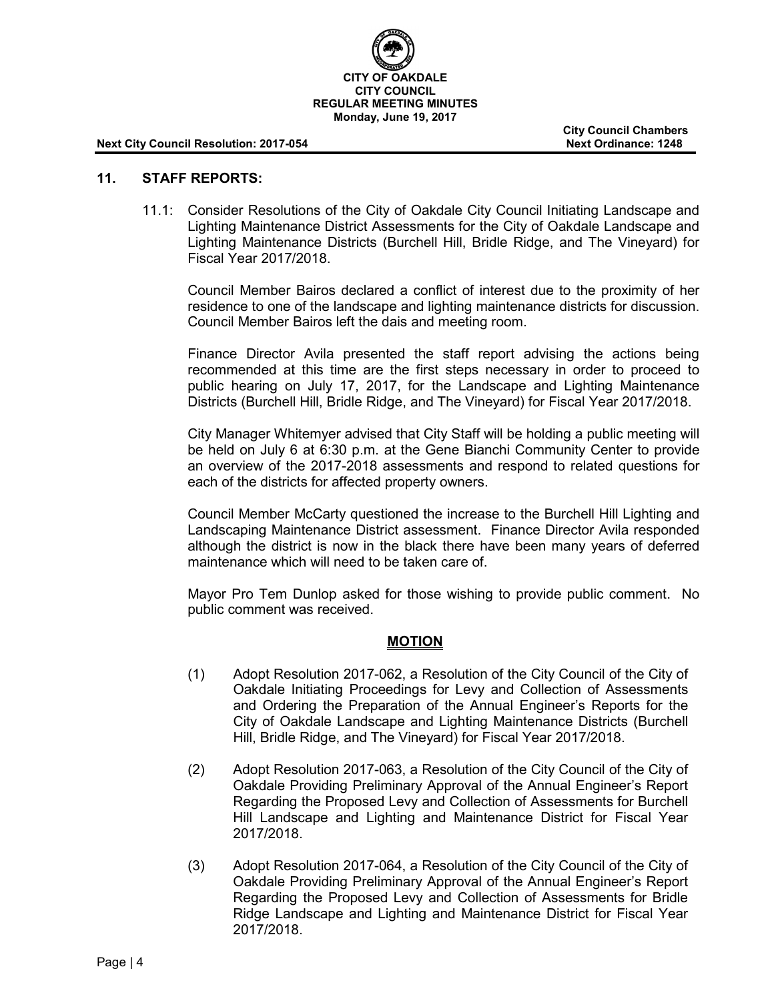

**City Council Chambers**

#### **11. STAFF REPORTS:**

11.1: Consider Resolutions of the City of Oakdale City Council Initiating Landscape and Lighting Maintenance District Assessments for the City of Oakdale Landscape and Lighting Maintenance Districts (Burchell Hill, Bridle Ridge, and The Vineyard) for Fiscal Year 2017/2018.

Council Member Bairos declared a conflict of interest due to the proximity of her residence to one of the landscape and lighting maintenance districts for discussion. Council Member Bairos left the dais and meeting room.

Finance Director Avila presented the staff report advising the actions being recommended at this time are the first steps necessary in order to proceed to public hearing on July 17, 2017, for the Landscape and Lighting Maintenance Districts (Burchell Hill, Bridle Ridge, and The Vineyard) for Fiscal Year 2017/2018.

City Manager Whitemyer advised that City Staff will be holding a public meeting will be held on July 6 at 6:30 p.m. at the Gene Bianchi Community Center to provide an overview of the 2017-2018 assessments and respond to related questions for each of the districts for affected property owners.

Council Member McCarty questioned the increase to the Burchell Hill Lighting and Landscaping Maintenance District assessment. Finance Director Avila responded although the district is now in the black there have been many years of deferred maintenance which will need to be taken care of.

Mayor Pro Tem Dunlop asked for those wishing to provide public comment. No public comment was received.

### **MOTION**

- (1) Adopt Resolution 2017-062, a Resolution of the City Council of the City of Oakdale Initiating Proceedings for Levy and Collection of Assessments and Ordering the Preparation of the Annual Engineer's Reports for the City of Oakdale Landscape and Lighting Maintenance Districts (Burchell Hill, Bridle Ridge, and The Vineyard) for Fiscal Year 2017/2018.
- (2) Adopt Resolution 2017-063, a Resolution of the City Council of the City of Oakdale Providing Preliminary Approval of the Annual Engineer's Report Regarding the Proposed Levy and Collection of Assessments for Burchell Hill Landscape and Lighting and Maintenance District for Fiscal Year 2017/2018.
- (3) Adopt Resolution 2017-064, a Resolution of the City Council of the City of Oakdale Providing Preliminary Approval of the Annual Engineer's Report Regarding the Proposed Levy and Collection of Assessments for Bridle Ridge Landscape and Lighting and Maintenance District for Fiscal Year 2017/2018.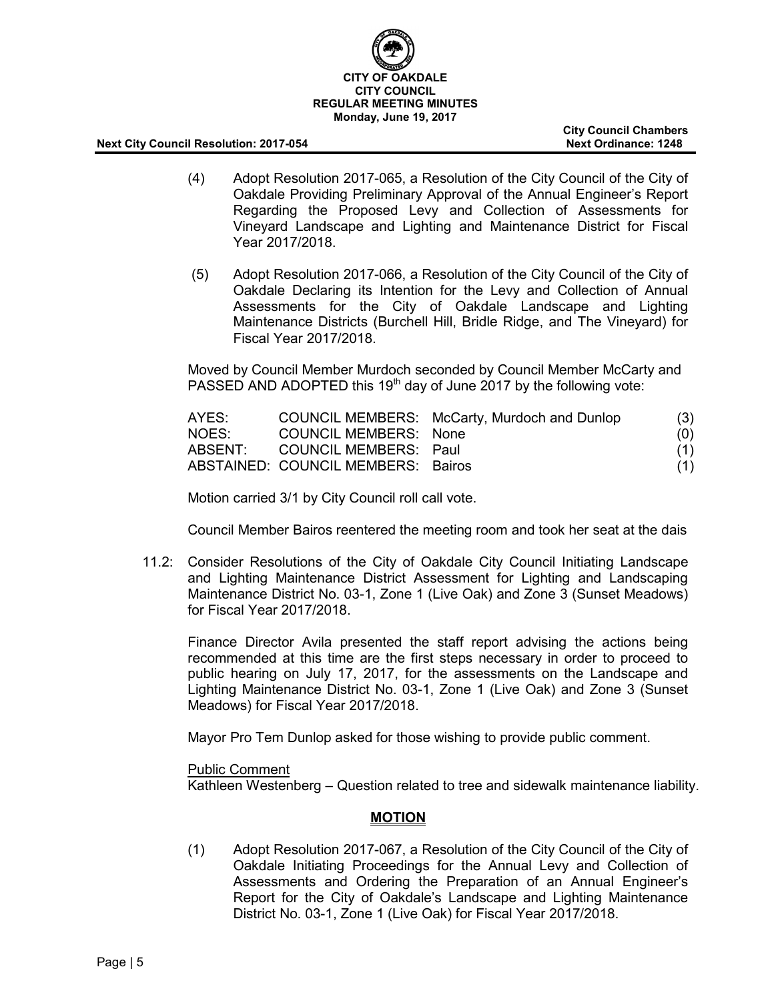

**City Council Chambers**

- (4) Adopt Resolution 2017-065, a Resolution of the City Council of the City of Oakdale Providing Preliminary Approval of the Annual Engineer's Report Regarding the Proposed Levy and Collection of Assessments for Vineyard Landscape and Lighting and Maintenance District for Fiscal Year 2017/2018.
- (5) Adopt Resolution 2017-066, a Resolution of the City Council of the City of Oakdale Declaring its Intention for the Levy and Collection of Annual Assessments for the City of Oakdale Landscape and Lighting Maintenance Districts (Burchell Hill, Bridle Ridge, and The Vineyard) for Fiscal Year 2017/2018.

Moved by Council Member Murdoch seconded by Council Member McCarty and PASSED AND ADOPTED this  $19<sup>th</sup>$  day of June 2017 by the following vote:

| AYES: |                                    | COUNCIL MEMBERS: McCarty, Murdoch and Dunlop | (3) |
|-------|------------------------------------|----------------------------------------------|-----|
| NOES: | COUNCIL MEMBERS: None              |                                              | (0) |
|       | ABSENT: COUNCIL MEMBERS: Paul      |                                              | (1) |
|       | ABSTAINED: COUNCIL MEMBERS: Bairos |                                              | (1) |

Motion carried 3/1 by City Council roll call vote.

Council Member Bairos reentered the meeting room and took her seat at the dais

11.2: Consider Resolutions of the City of Oakdale City Council Initiating Landscape and Lighting Maintenance District Assessment for Lighting and Landscaping Maintenance District No. 03-1, Zone 1 (Live Oak) and Zone 3 (Sunset Meadows) for Fiscal Year 2017/2018.

Finance Director Avila presented the staff report advising the actions being recommended at this time are the first steps necessary in order to proceed to public hearing on July 17, 2017, for the assessments on the Landscape and Lighting Maintenance District No. 03-1, Zone 1 (Live Oak) and Zone 3 (Sunset Meadows) for Fiscal Year 2017/2018.

Mayor Pro Tem Dunlop asked for those wishing to provide public comment.

Public Comment

Kathleen Westenberg – Question related to tree and sidewalk maintenance liability.

### **MOTION**

(1) Adopt Resolution 2017-067, a Resolution of the City Council of the City of Oakdale Initiating Proceedings for the Annual Levy and Collection of Assessments and Ordering the Preparation of an Annual Engineer's Report for the City of Oakdale's Landscape and Lighting Maintenance District No. 03-1, Zone 1 (Live Oak) for Fiscal Year 2017/2018.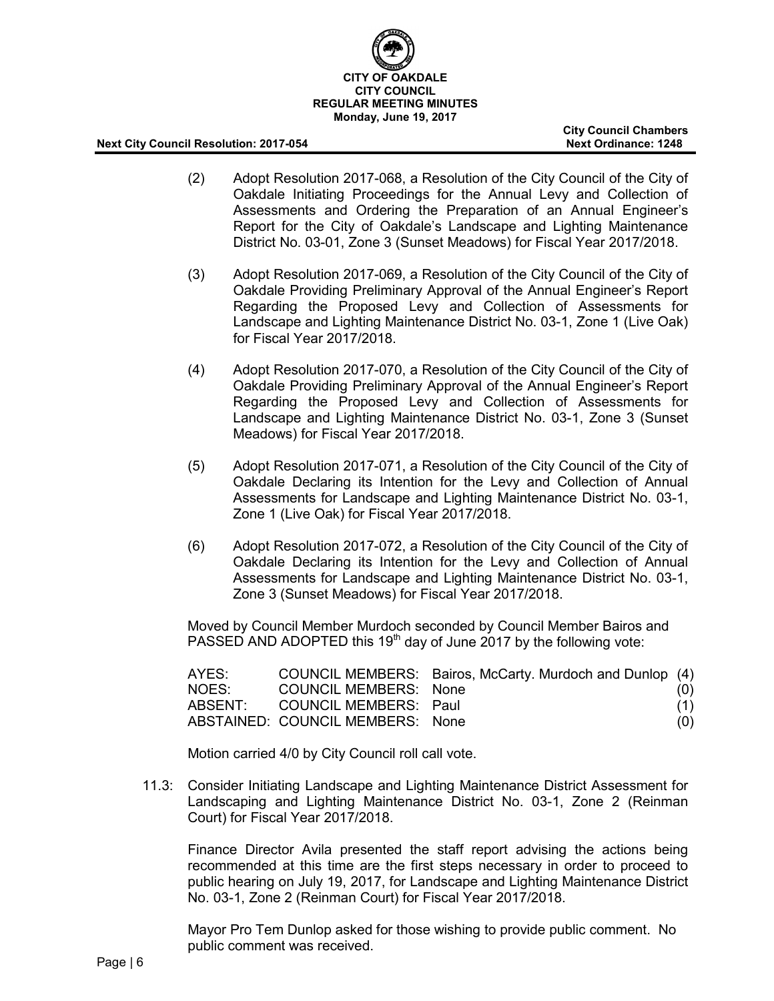

**City Council Chambers**

- (2) Adopt Resolution 2017-068, a Resolution of the City Council of the City of Oakdale Initiating Proceedings for the Annual Levy and Collection of Assessments and Ordering the Preparation of an Annual Engineer's Report for the City of Oakdale's Landscape and Lighting Maintenance District No. 03-01, Zone 3 (Sunset Meadows) for Fiscal Year 2017/2018.
- (3) Adopt Resolution 2017-069, a Resolution of the City Council of the City of Oakdale Providing Preliminary Approval of the Annual Engineer's Report Regarding the Proposed Levy and Collection of Assessments for Landscape and Lighting Maintenance District No. 03-1, Zone 1 (Live Oak) for Fiscal Year 2017/2018.
- (4) Adopt Resolution 2017-070, a Resolution of the City Council of the City of Oakdale Providing Preliminary Approval of the Annual Engineer's Report Regarding the Proposed Levy and Collection of Assessments for Landscape and Lighting Maintenance District No. 03-1, Zone 3 (Sunset Meadows) for Fiscal Year 2017/2018.
- (5) Adopt Resolution 2017-071, a Resolution of the City Council of the City of Oakdale Declaring its Intention for the Levy and Collection of Annual Assessments for Landscape and Lighting Maintenance District No. 03-1, Zone 1 (Live Oak) for Fiscal Year 2017/2018.
- (6) Adopt Resolution 2017-072, a Resolution of the City Council of the City of Oakdale Declaring its Intention for the Levy and Collection of Annual Assessments for Landscape and Lighting Maintenance District No. 03-1, Zone 3 (Sunset Meadows) for Fiscal Year 2017/2018.

Moved by Council Member Murdoch seconded by Council Member Bairos and PASSED AND ADOPTED this  $19<sup>th</sup>$  day of June 2017 by the following vote:

| AYES:   |                                  | COUNCIL MEMBERS: Bairos, McCarty. Murdoch and Dunlop (4) |     |
|---------|----------------------------------|----------------------------------------------------------|-----|
| NOES:   | COUNCIL MEMBERS: None            |                                                          | (0) |
| ABSENT: | COUNCIL MEMBERS: Paul            |                                                          | (1) |
|         | ABSTAINED: COUNCIL MEMBERS: None |                                                          | (O) |

Motion carried 4/0 by City Council roll call vote.

11.3: Consider Initiating Landscape and Lighting Maintenance District Assessment for Landscaping and Lighting Maintenance District No. 03-1, Zone 2 (Reinman Court) for Fiscal Year 2017/2018.

Finance Director Avila presented the staff report advising the actions being recommended at this time are the first steps necessary in order to proceed to public hearing on July 19, 2017, for Landscape and Lighting Maintenance District No. 03-1, Zone 2 (Reinman Court) for Fiscal Year 2017/2018.

Mayor Pro Tem Dunlop asked for those wishing to provide public comment. No public comment was received.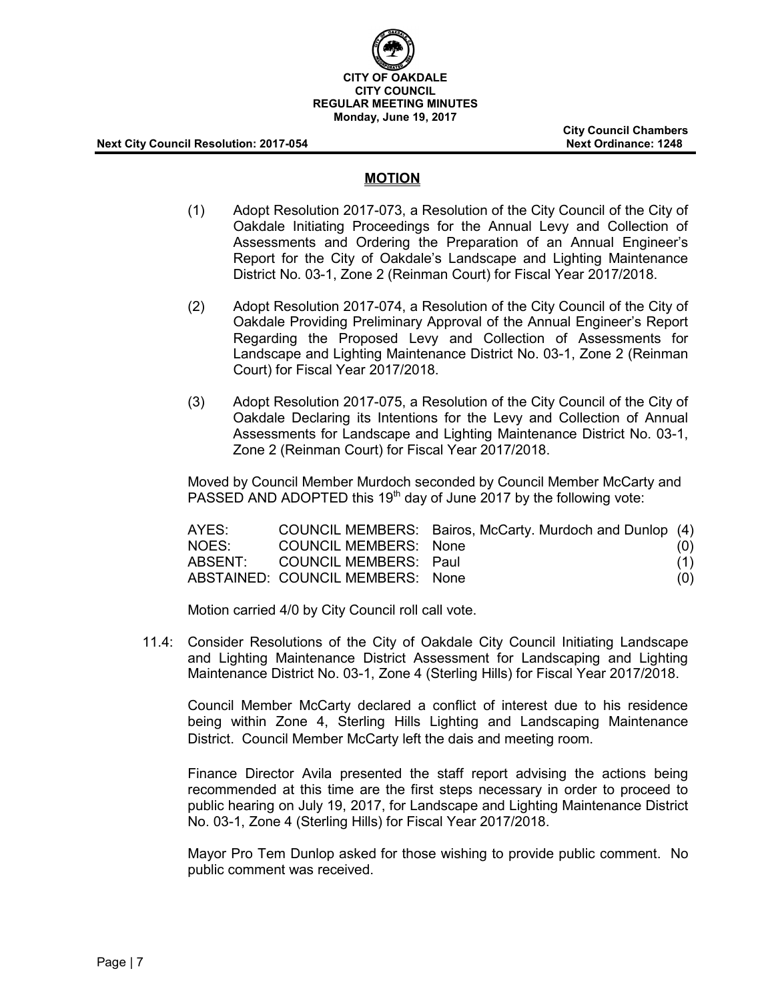

**City Council Chambers**

#### **MOTION**

- (1) Adopt Resolution 2017-073, a Resolution of the City Council of the City of Oakdale Initiating Proceedings for the Annual Levy and Collection of Assessments and Ordering the Preparation of an Annual Engineer's Report for the City of Oakdale's Landscape and Lighting Maintenance District No. 03-1, Zone 2 (Reinman Court) for Fiscal Year 2017/2018.
- (2) Adopt Resolution 2017-074, a Resolution of the City Council of the City of Oakdale Providing Preliminary Approval of the Annual Engineer's Report Regarding the Proposed Levy and Collection of Assessments for Landscape and Lighting Maintenance District No. 03-1, Zone 2 (Reinman Court) for Fiscal Year 2017/2018.
- (3) Adopt Resolution 2017-075, a Resolution of the City Council of the City of Oakdale Declaring its Intentions for the Levy and Collection of Annual Assessments for Landscape and Lighting Maintenance District No. 03-1, Zone 2 (Reinman Court) for Fiscal Year 2017/2018.

Moved by Council Member Murdoch seconded by Council Member McCarty and PASSED AND ADOPTED this 19<sup>th</sup> day of June 2017 by the following vote:

| AYES:   |                                  | COUNCIL MEMBERS: Bairos, McCarty. Murdoch and Dunlop (4) |     |
|---------|----------------------------------|----------------------------------------------------------|-----|
| NOES:   | COUNCIL MEMBERS: None            |                                                          | (0) |
| ABSENT: | COUNCIL MEMBERS: Paul            |                                                          | (1) |
|         | ABSTAINED: COUNCIL MEMBERS: None |                                                          | (0) |

Motion carried 4/0 by City Council roll call vote.

11.4: Consider Resolutions of the City of Oakdale City Council Initiating Landscape and Lighting Maintenance District Assessment for Landscaping and Lighting Maintenance District No. 03-1, Zone 4 (Sterling Hills) for Fiscal Year 2017/2018.

Council Member McCarty declared a conflict of interest due to his residence being within Zone 4, Sterling Hills Lighting and Landscaping Maintenance District. Council Member McCarty left the dais and meeting room.

Finance Director Avila presented the staff report advising the actions being recommended at this time are the first steps necessary in order to proceed to public hearing on July 19, 2017, for Landscape and Lighting Maintenance District No. 03-1, Zone 4 (Sterling Hills) for Fiscal Year 2017/2018.

Mayor Pro Tem Dunlop asked for those wishing to provide public comment. No public comment was received.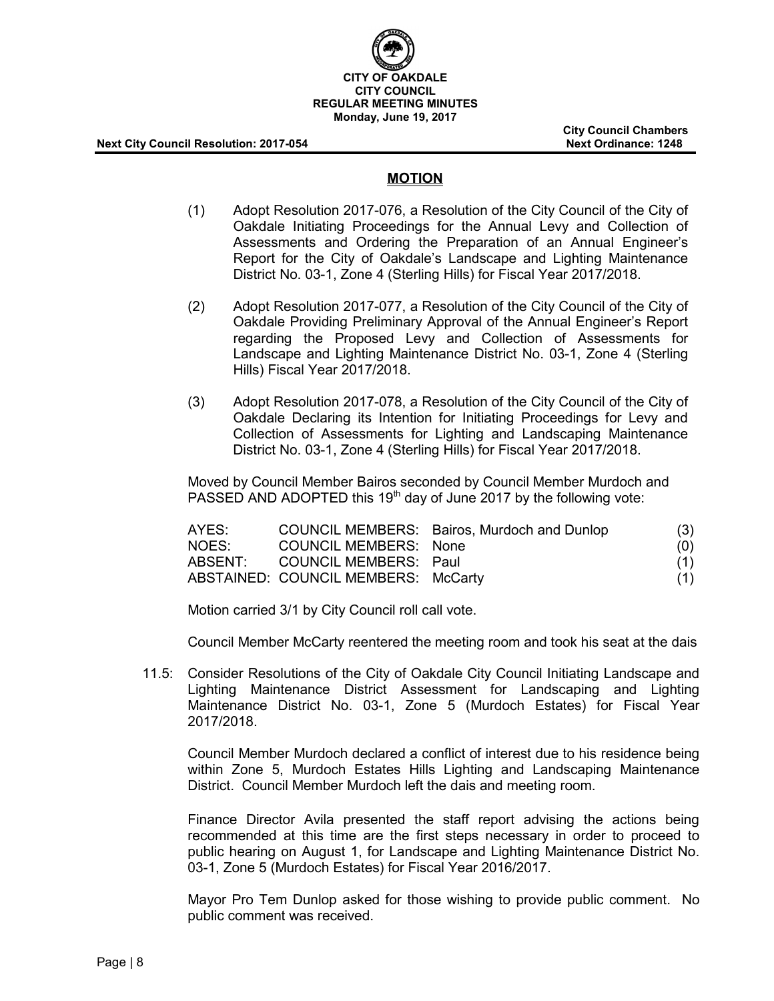

**City Council Chambers**

#### **MOTION**

- (1) Adopt Resolution 2017-076, a Resolution of the City Council of the City of Oakdale Initiating Proceedings for the Annual Levy and Collection of Assessments and Ordering the Preparation of an Annual Engineer's Report for the City of Oakdale's Landscape and Lighting Maintenance District No. 03-1, Zone 4 (Sterling Hills) for Fiscal Year 2017/2018.
- (2) Adopt Resolution 2017-077, a Resolution of the City Council of the City of Oakdale Providing Preliminary Approval of the Annual Engineer's Report regarding the Proposed Levy and Collection of Assessments for Landscape and Lighting Maintenance District No. 03-1, Zone 4 (Sterling Hills) Fiscal Year 2017/2018.
- (3) Adopt Resolution 2017-078, a Resolution of the City Council of the City of Oakdale Declaring its Intention for Initiating Proceedings for Levy and Collection of Assessments for Lighting and Landscaping Maintenance District No. 03-1, Zone 4 (Sterling Hills) for Fiscal Year 2017/2018.

Moved by Council Member Bairos seconded by Council Member Murdoch and PASSED AND ADOPTED this 19<sup>th</sup> day of June 2017 by the following vote:

| AYES:   |                                     | COUNCIL MEMBERS: Bairos, Murdoch and Dunlop | (3) |
|---------|-------------------------------------|---------------------------------------------|-----|
| NOES:   | COUNCIL MEMBERS: None               |                                             | (0) |
| ABSENT: | COUNCIL MEMBERS: Paul               |                                             | (1) |
|         | ABSTAINED: COUNCIL MEMBERS: McCarty |                                             | (1) |

Motion carried 3/1 by City Council roll call vote.

Council Member McCarty reentered the meeting room and took his seat at the dais

11.5: Consider Resolutions of the City of Oakdale City Council Initiating Landscape and Lighting Maintenance District Assessment for Landscaping and Lighting Maintenance District No. 03-1, Zone 5 (Murdoch Estates) for Fiscal Year 2017/2018.

Council Member Murdoch declared a conflict of interest due to his residence being within Zone 5, Murdoch Estates Hills Lighting and Landscaping Maintenance District. Council Member Murdoch left the dais and meeting room.

Finance Director Avila presented the staff report advising the actions being recommended at this time are the first steps necessary in order to proceed to public hearing on August 1, for Landscape and Lighting Maintenance District No. 03-1, Zone 5 (Murdoch Estates) for Fiscal Year 2016/2017.

Mayor Pro Tem Dunlop asked for those wishing to provide public comment. No public comment was received.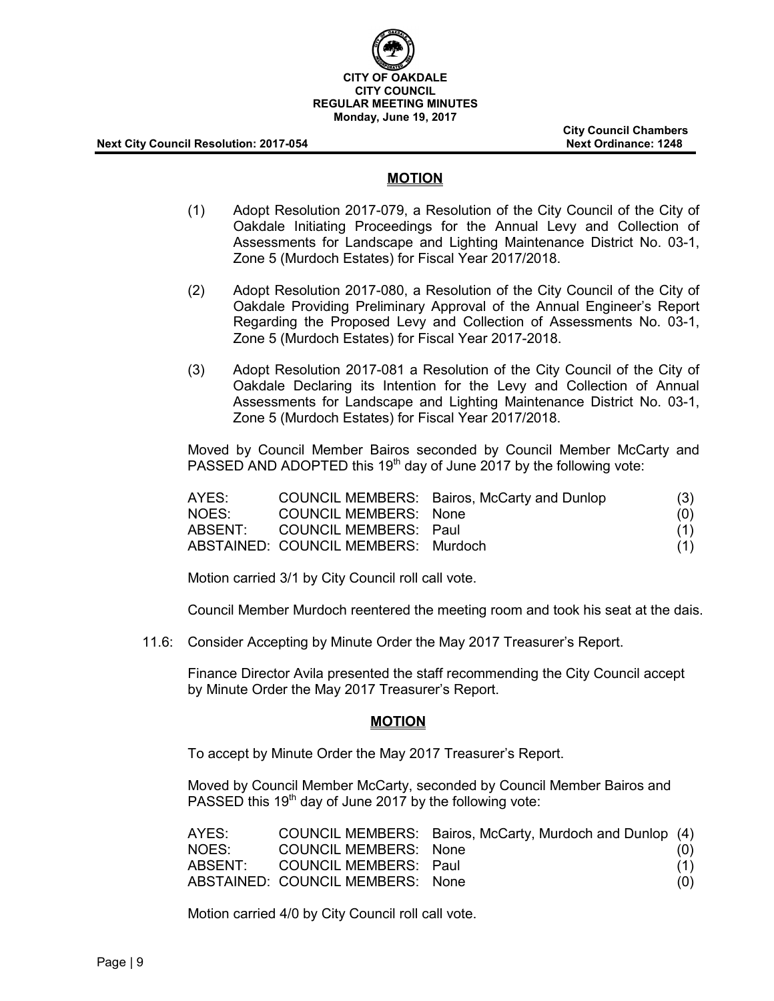

**City Council Chambers**

#### **MOTION**

- (1) Adopt Resolution 2017-079, a Resolution of the City Council of the City of Oakdale Initiating Proceedings for the Annual Levy and Collection of Assessments for Landscape and Lighting Maintenance District No. 03-1, Zone 5 (Murdoch Estates) for Fiscal Year 2017/2018.
- (2) Adopt Resolution 2017-080, a Resolution of the City Council of the City of Oakdale Providing Preliminary Approval of the Annual Engineer's Report Regarding the Proposed Levy and Collection of Assessments No. 03-1, Zone 5 (Murdoch Estates) for Fiscal Year 2017-2018.
- (3) Adopt Resolution 2017-081 a Resolution of the City Council of the City of Oakdale Declaring its Intention for the Levy and Collection of Annual Assessments for Landscape and Lighting Maintenance District No. 03-1, Zone 5 (Murdoch Estates) for Fiscal Year 2017/2018.

Moved by Council Member Bairos seconded by Council Member McCarty and PASSED AND ADOPTED this  $19<sup>th</sup>$  day of June 2017 by the following vote:

| AYES:   |                                     | COUNCIL MEMBERS: Bairos, McCarty and Dunlop | (3) |
|---------|-------------------------------------|---------------------------------------------|-----|
| NOES:   | COUNCIL MEMBERS: None               |                                             | (0) |
| ABSENT: | COUNCIL MEMBERS: Paul               |                                             | (1) |
|         | ABSTAINED: COUNCIL MEMBERS: Murdoch |                                             | (1) |

Motion carried 3/1 by City Council roll call vote.

Council Member Murdoch reentered the meeting room and took his seat at the dais.

11.6: Consider Accepting by Minute Order the May 2017 Treasurer's Report.

Finance Director Avila presented the staff recommending the City Council accept by Minute Order the May 2017 Treasurer's Report.

#### **MOTION**

To accept by Minute Order the May 2017 Treasurer's Report.

Moved by Council Member McCarty, seconded by Council Member Bairos and PASSED this  $19<sup>th</sup>$  day of June 2017 by the following vote:

| AYES: |                                  | COUNCIL MEMBERS: Bairos, McCarty, Murdoch and Dunlop (4) |     |
|-------|----------------------------------|----------------------------------------------------------|-----|
| NOES: | COUNCIL MEMBERS: None            |                                                          | (0) |
|       | ABSENT: COUNCIL MEMBERS: Paul    |                                                          | (1) |
|       | ABSTAINED: COUNCIL MEMBERS: None |                                                          | (O) |

Motion carried 4/0 by City Council roll call vote.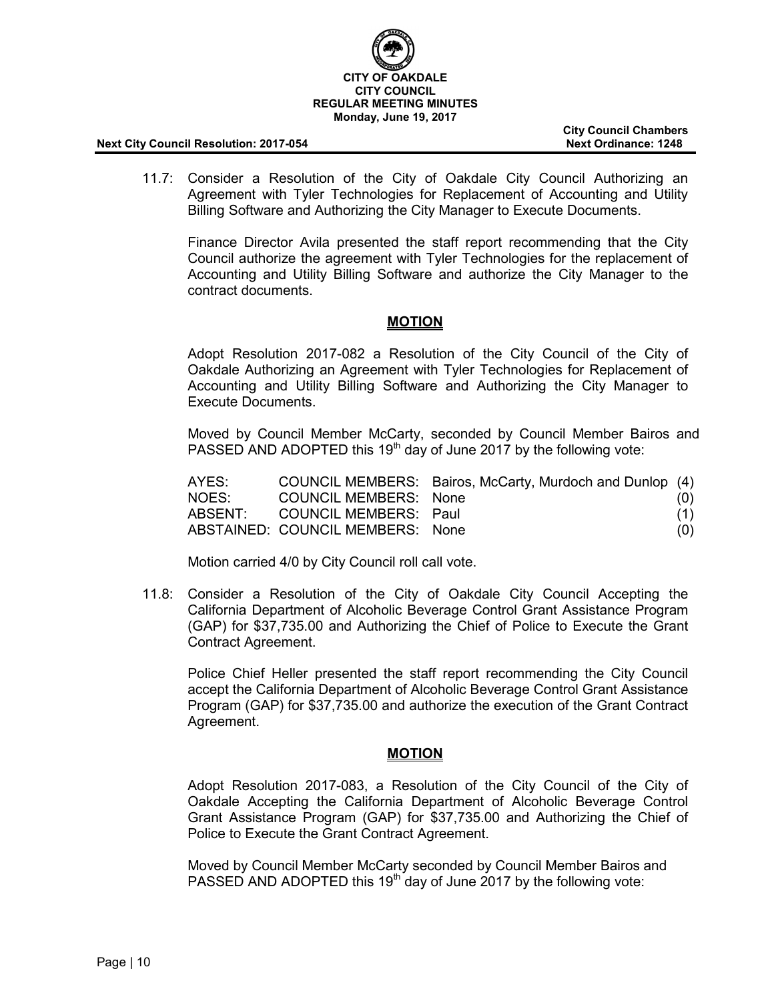

**City Council Chambers**

11.7: Consider a Resolution of the City of Oakdale City Council Authorizing an Agreement with Tyler Technologies for Replacement of Accounting and Utility Billing Software and Authorizing the City Manager to Execute Documents.

Finance Director Avila presented the staff report recommending that the City Council authorize the agreement with Tyler Technologies for the replacement of Accounting and Utility Billing Software and authorize the City Manager to the contract documents.

#### **MOTION**

Adopt Resolution 2017-082 a Resolution of the City Council of the City of Oakdale Authorizing an Agreement with Tyler Technologies for Replacement of Accounting and Utility Billing Software and Authorizing the City Manager to Execute Documents.

Moved by Council Member McCarty, seconded by Council Member Bairos and PASSED AND ADOPTED this  $19<sup>th</sup>$  day of June 2017 by the following vote:

| AYES: |                                  | COUNCIL MEMBERS: Bairos, McCarty, Murdoch and Dunlop (4) |     |
|-------|----------------------------------|----------------------------------------------------------|-----|
| NOES: | COUNCIL MEMBERS: None            |                                                          | (0) |
|       | ABSENT: COUNCIL MEMBERS: Paul    |                                                          | (1) |
|       | ABSTAINED: COUNCIL MEMBERS: None |                                                          | (O) |

Motion carried 4/0 by City Council roll call vote.

11.8: Consider a Resolution of the City of Oakdale City Council Accepting the California Department of Alcoholic Beverage Control Grant Assistance Program (GAP) for \$37,735.00 and Authorizing the Chief of Police to Execute the Grant Contract Agreement.

Police Chief Heller presented the staff report recommending the City Council accept the California Department of Alcoholic Beverage Control Grant Assistance Program (GAP) for \$37,735.00 and authorize the execution of the Grant Contract Agreement.

### **MOTION**

Adopt Resolution 2017-083, a Resolution of the City Council of the City of Oakdale Accepting the California Department of Alcoholic Beverage Control Grant Assistance Program (GAP) for \$37,735.00 and Authorizing the Chief of Police to Execute the Grant Contract Agreement.

Moved by Council Member McCarty seconded by Council Member Bairos and PASSED AND ADOPTED this  $19<sup>th</sup>$  day of June 2017 by the following vote: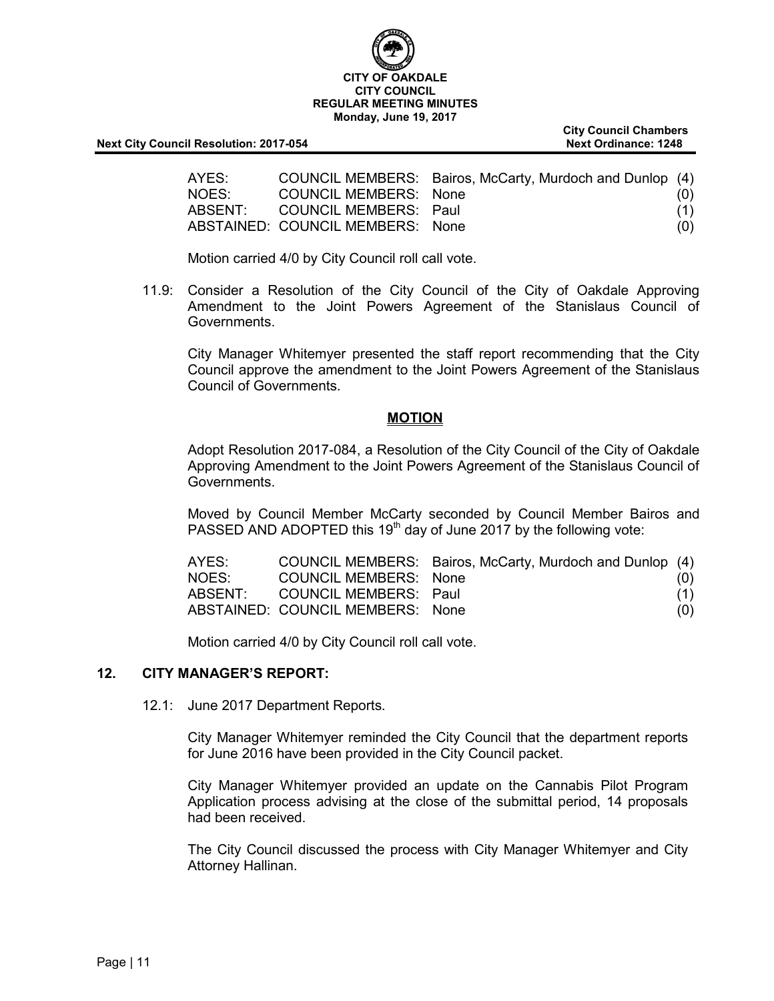# **CITY OF OAKDALE CITY COUNCIL REGULAR MEETING MINUTES Monday, June 19, 2017**

**Next City Council Resolution: 2017-054 Next Ordinance: 1248** 

**City Council Chambers**

| AYES: |                                  | COUNCIL MEMBERS: Bairos, McCarty, Murdoch and Dunlop (4) |     |
|-------|----------------------------------|----------------------------------------------------------|-----|
| NOES: | COUNCIL MEMBERS: None            |                                                          | (0) |
|       | ABSENT: COUNCIL MEMBERS: Paul    |                                                          | (1) |
|       | ABSTAINED: COUNCIL MEMBERS: None |                                                          | (0) |

Motion carried 4/0 by City Council roll call vote.

11.9: Consider a Resolution of the City Council of the City of Oakdale Approving Amendment to the Joint Powers Agreement of the Stanislaus Council of Governments.

City Manager Whitemyer presented the staff report recommending that the City Council approve the amendment to the Joint Powers Agreement of the Stanislaus Council of Governments.

### **MOTION**

Adopt Resolution 2017-084, a Resolution of the City Council of the City of Oakdale Approving Amendment to the Joint Powers Agreement of the Stanislaus Council of Governments.

Moved by Council Member McCarty seconded by Council Member Bairos and PASSED AND ADOPTED this 19<sup>th</sup> day of June 2017 by the following vote:

| AYES:   |                                  | COUNCIL MEMBERS: Bairos, McCarty, Murdoch and Dunlop (4) |     |
|---------|----------------------------------|----------------------------------------------------------|-----|
| NOES:   | COUNCIL MEMBERS: None            |                                                          | (0) |
| ABSENT: | COUNCIL MEMBERS: Paul            |                                                          | (1) |
|         | ABSTAINED: COUNCIL MEMBERS: None |                                                          | (O) |

Motion carried 4/0 by City Council roll call vote.

### **12. CITY MANAGER'S REPORT:**

12.1: June 2017 Department Reports.

City Manager Whitemyer reminded the City Council that the department reports for June 2016 have been provided in the City Council packet.

City Manager Whitemyer provided an update on the Cannabis Pilot Program Application process advising at the close of the submittal period, 14 proposals had been received.

The City Council discussed the process with City Manager Whitemyer and City Attorney Hallinan.